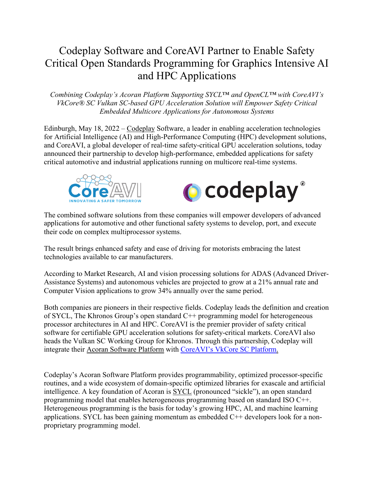## Codeplay Software and CoreAVI Partner to Enable Safety Critical Open Standards Programming for Graphics Intensive AI and HPC Applications

*Combining Codeplay's Acoran Platform Supporting SYCL*™ *and OpenCL™ with CoreAVI's VkCore® SC Vulkan SC-based GPU Acceleration Solution will Empower Safety Critical Embedded Multicore Applications for Autonomous Systems* 

Edinburgh, May 18, 2022 – [Codeplay](https://www.codeplay.com/) Software, a leader in enabling acceleration technologies for Artificial Intelligence (AI) and High-Performance Computing (HPC) development solutions, and [CoreAVI,](https://coreavi.com/) a global developer of real-time safety-critical GPU acceleration solutions, today announced their partnership to develop high-performance, embedded applications for safety critical automotive and industrial applications running on multicore real-time systems.





The combined software solutions from these companies will empower developers of advanced applications for automotive and other functional safety systems to develop, port, and execute their code on complex multiprocessor systems.

The result brings enhanced safety and ease of driving for motorists embracing the latest technologies available to car manufacturers.

According to Market Research, AI and vision processing solutions for ADAS (Advanced Driver-Assistance Systems) and autonomous vehicles are projected to grow at a 21% annual rate and Computer Vision applications to grow 34% annually over the same period.

Both companies are pioneers in their respective fields. Codeplay leads the definition and creation of SYCL, The Khronos Group's open standard C++ programming model for heterogeneous processor architectures in AI and HPC. CoreAVI is the premier provider of safety critical software for certifiable GPU acceleration solutions for safety-critical markets. CoreAVI also heads the Vulkan SC Working Group for Khronos. Through this partnership, Codeplay will integrate their [Acoran](https://www.codeplay.com/solutions/acoran/) Software Platform with [CoreAVI's VkCore SC Platform.](https://coreavi.com/product_category/safety-critical-graphics-and-compute/)

Codeplay's Acoran Software Platform provides programmability, optimized processor-specific routines, and a wide ecosystem of domain-specific optimized libraries for exascale and artificial intelligence. A key foundation of Acoran is [SYCL](https://sycl.tech/) (pronounced "sickle"), an open standard programming model that enables heterogeneous programming based on standard ISO C++. Heterogeneous programming is the basis for today's growing HPC, AI, and machine learning applications. SYCL has been gaining momentum as embedded C++ developers look for a nonproprietary programming model.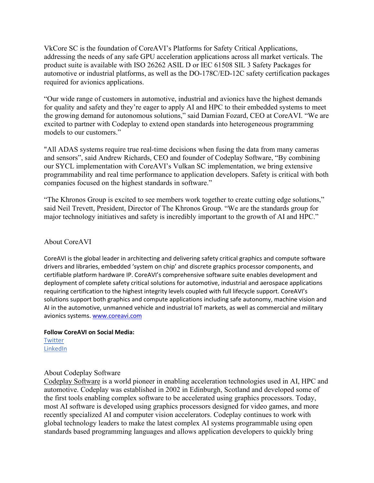VkCore SC is the foundation of CoreAVI's Platforms for Safety Critical Applications, addressing the needs of any safe GPU acceleration applications across all market verticals. The product suite is available with ISO 26262 ASIL D or IEC 61508 SIL 3 Safety Packages for automotive or industrial platforms, as well as the DO-178C/ED-12C safety certification packages required for avionics applications.

"Our wide range of customers in automotive, industrial and avionics have the highest demands for quality and safety and they're eager to apply AI and HPC to their embedded systems to meet the growing demand for autonomous solutions," said Damian Fozard, CEO at CoreAVI. "We are excited to partner with Codeplay to extend open standards into heterogeneous programming models to our customers."

"All ADAS systems require true real-time decisions when fusing the data from many cameras and sensors", said Andrew Richards, CEO and founder of Codeplay Software, "By combining our SYCL implementation with CoreAVI's Vulkan SC implementation, we bring extensive programmability and real time performance to application developers. Safety is critical with both companies focused on the highest standards in software."

"The Khronos Group is excited to see members work together to create cutting edge solutions," said Neil Trevett, President, Director of The Khronos Group. "We are the standards group for major technology initiatives and safety is incredibly important to the growth of AI and HPC."

## About CoreAVI

CoreAVI is the global leader in architecting and delivering safety critical graphics and compute software drivers and libraries, embedded 'system on chip' and discrete graphics processor components, and certifiable platform hardware IP. CoreAVI's comprehensive software suite enables development and deployment of complete safety critical solutions for automotive, industrial and aerospace applications requiring certification to the highest integrity levels coupled with full lifecycle support. CoreAVI's solutions support both graphics and compute applications including safe autonomy, machine vision and AI in the automotive, unmanned vehicle and industrial IoT markets, as well as commercial and military avionics systems[. www.coreavi.com](http://www.coreavi.com/)

## **Follow CoreAVI on Social Media:**

**[Twitter](https://twitter.com/coreavi)** [LinkedIn](https://www.linkedin.com/company/coreavi/)

## About Codeplay Software

[Codeplay Software](https://www.codeplay.com/) is a world pioneer in enabling acceleration technologies used in AI, HPC and automotive. Codeplay was established in 2002 in Edinburgh, Scotland and developed some of the first tools enabling complex software to be accelerated using graphics processors. Today, most AI software is developed using graphics processors designed for video games, and more recently specialized AI and computer vision accelerators. Codeplay continues to work with global technology leaders to make the latest complex AI systems programmable using open standards based programming languages and allows application developers to quickly bring